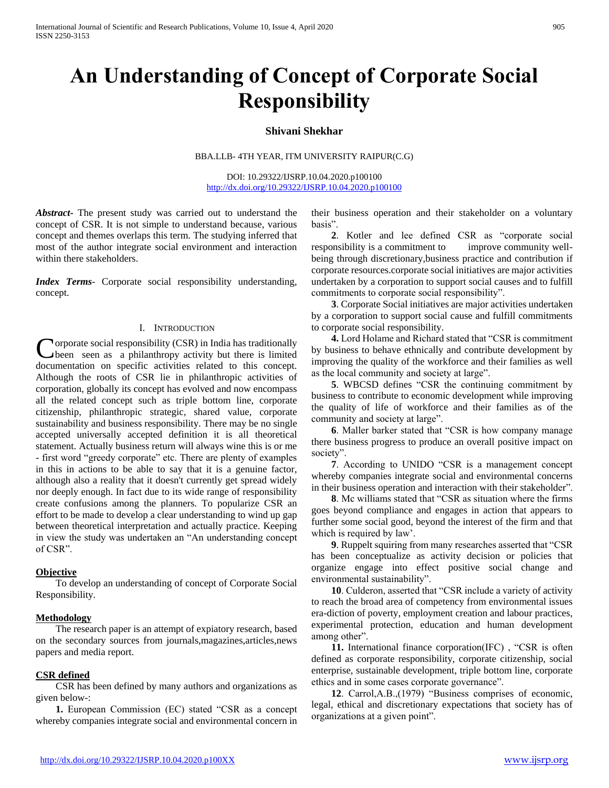# **An Understanding of Concept of Corporate Social Responsibility**

# **Shivani Shekhar**

BBA.LLB- 4TH YEAR, ITM UNIVERSITY RAIPUR(C.G)

DOI: 10.29322/IJSRP.10.04.2020.p100100 <http://dx.doi.org/10.29322/IJSRP.10.04.2020.p100100>

*Abstract***-** The present study was carried out to understand the concept of CSR. It is not simple to understand because, various concept and themes overlaps this term. The studying inferred that most of the author integrate social environment and interaction within there stakeholders.

*Index Terms*- Corporate social responsibility understanding, concept.

### I. INTRODUCTION

orporate social responsibility (CSR) in India has traditionally been seen as a philanthropy activity but there is limited Corporate social responsibility (CSR) in India has traditionally been seen as a philanthropy activity but there is limited documentation on specific activities related to this concept. Although the roots of CSR lie in philanthropic activities of corporation, globally its concept has evolved and now encompass all the related concept such as triple bottom line, corporate citizenship, philanthropic strategic, shared value, corporate sustainability and business responsibility. There may be no single accepted universally accepted definition it is all theoretical statement. Actually business return will always wine this is or me - first word "greedy corporate" etc. There are plenty of examples in this in actions to be able to say that it is a genuine factor, although also a reality that it doesn't currently get spread widely nor deeply enough. In fact due to its wide range of responsibility create confusions among the planners. To popularize CSR an effort to be made to develop a clear understanding to wind up gap between theoretical interpretation and actually practice. Keeping in view the study was undertaken an "An understanding concept of CSR".

# **Objective**

 To develop an understanding of concept of Corporate Social Responsibility.

#### **Methodology**

 The research paper is an attempt of expiatory research, based on the secondary sources from journals,magazines,articles,news papers and media report.

# **CSR defined**

 CSR has been defined by many authors and organizations as given below-:

 **1.** European Commission (EC) stated "CSR as a concept whereby companies integrate social and environmental concern in their business operation and their stakeholder on a voluntary basis".

 **2**. Kotler and lee defined CSR as "corporate social responsibility is a commitment to improve community wellbeing through discretionary,business practice and contribution if corporate resources.corporate social initiatives are major activities undertaken by a corporation to support social causes and to fulfill commitments to corporate social responsibility".

 **3**. Corporate Social initiatives are major activities undertaken by a corporation to support social cause and fulfill commitments to corporate social responsibility.

 **4.** Lord Holame and Richard stated that "CSR is commitment by business to behave ethnically and contribute development by improving the quality of the workforce and their families as well as the local community and society at large".

 **5**. WBCSD defines "CSR the continuing commitment by business to contribute to economic development while improving the quality of life of workforce and their families as of the community and society at large".

 **6**. Maller barker stated that "CSR is how company manage there business progress to produce an overall positive impact on society".

 **7**. According to UNIDO "CSR is a management concept whereby companies integrate social and environmental concerns in their business operation and interaction with their stakeholder".

 **8**. Mc williams stated that "CSR as situation where the firms goes beyond compliance and engages in action that appears to further some social good, beyond the interest of the firm and that which is required by law'.

 **9**. Ruppelt squiring from many researches asserted that "CSR has been conceptualize as activity decision or policies that organize engage into effect positive social change and environmental sustainability".

 **10**. Culderon, asserted that "CSR include a variety of activity to reach the broad area of competency from environmental issues era-diction of poverty, employment creation and labour practices, experimental protection, education and human development among other".

 **11.** International finance corporation(IFC) , "CSR is often defined as corporate responsibility, corporate citizenship, social enterprise, sustainable development, triple bottom line, corporate ethics and in some cases corporate governance".

 **12**. Carrol,A.B.,(1979) "Business comprises of economic, legal, ethical and discretionary expectations that society has of organizations at a given point".